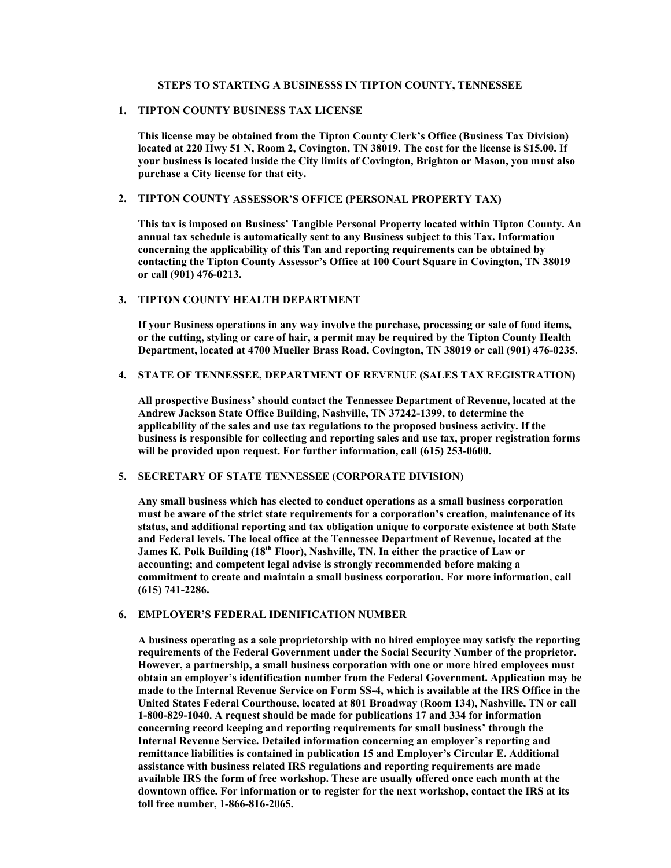## **STEPS TO STARTING A BUSINESSS IN TIPTON COUNTY, TENNESSEE**

# **1. TIPTON COUNTY BUSINESS TAX LICENSE**

**This license may be obtained from the Tipton County Clerk's Office (Business Tax Division) located at 220 Hwy 51 N, Room 2, Covington, TN 38019. The cost for the license is \$15.00. If your business is located inside the City limits of Covington, Brighton or Mason, you must also purchase a City license for that city.** 

## **2. TIPTON COUNTY ASSESSOR'S OFFICE (PERSONAL PROPERTY TAX)**

**This tax is imposed on Business' Tangible Personal Property located within Tipton County. An annual tax schedule is automatically sent to any Business subject to this Tax. Information concerning the applicability of this Tan and reporting requirements can be obtained by contacting the Tipton County Assessor's Office at 100 Court Square in Covington, TN 38019 or call (901) 476-0213.** 

# **3. TIPTON COUNTY HEALTH DEPARTMENT**

**If your Business operations in any way involve the purchase, processing or sale of food items, or the cutting, styling or care of hair, a permit may be required by the Tipton County Health Department, located at 4700 Mueller Brass Road, Covington, TN 38019 or call (901) 476-0235.** 

#### **4. STATE OF TENNESSEE, DEPARTMENT OF REVENUE (SALES TAX REGISTRATION)**

**All prospective Business' should contact the Tennessee Department of Revenue, located at the Andrew Jackson State Office Building, Nashville, TN 37242-1399, to determine the applicability of the sales and use tax regulations to the proposed business activity. If the business is responsible for collecting and reporting sales and use tax, proper registration forms will be provided upon request. For further information, call (615) 253-0600.** 

# **5. SECRETARY OF STATE TENNESSEE (CORPORATE DIVISION)**

**Any small business which has elected to conduct operations as a small business corporation must be aware of the strict state requirements for a corporation's creation, maintenance of its status, and additional reporting and tax obligation unique to corporate existence at both State and Federal levels. The local office at the Tennessee Department of Revenue, located at the**  James K. Polk Building (18<sup>th</sup> Floor), Nashville, TN. In either the practice of Law or **accounting; and competent legal advise is strongly recommended before making a commitment to create and maintain a small business corporation. For more information, call (615) 741-2286.** 

# **6. EMPLOYER'S FEDERAL IDENIFICATION NUMBER**

**A business operating as a sole proprietorship with no hired employee may satisfy the reporting requirements of the Federal Government under the Social Security Number of the proprietor. However, a partnership, a small business corporation with one or more hired employees must obtain an employer's identification number from the Federal Government. Application may be made to the Internal Revenue Service on Form SS-4, which is available at the IRS Office in the United States Federal Courthouse, located at 801 Broadway (Room 134), Nashville, TN or call 1-800-829-1040. A request should be made for publications 17 and 334 for information concerning record keeping and reporting requirements for small business' through the Internal Revenue Service. Detailed information concerning an employer's reporting and remittance liabilities is contained in publication 15 and Employer's Circular E. Additional assistance with business related IRS regulations and reporting requirements are made available IRS the form of free workshop. These are usually offered once each month at the downtown office. For information or to register for the next workshop, contact the IRS at its toll free number, 1-866-816-2065.**